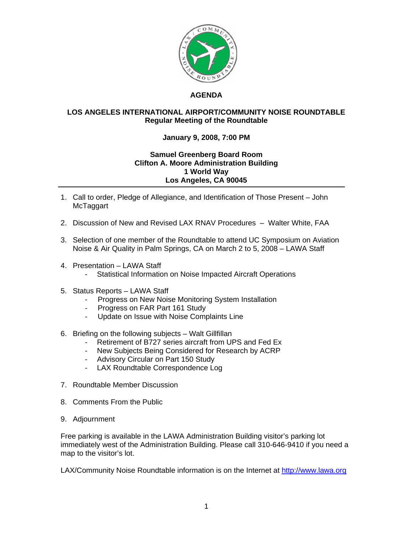

## **AGENDA**

## **LOS ANGELES INTERNATIONAL AIRPORT/COMMUNITY NOISE ROUNDTABLE Regular Meeting of the Roundtable**

## **January 9, 2008, 7:00 PM**

## **Samuel Greenberg Board Room Clifton A. Moore Administration Building 1 World Way Los Angeles, CA 90045**

- 1. Call to order, Pledge of Allegiance, and Identification of Those Present John **McTaggart**
- 2. Discussion of New and Revised LAX RNAV Procedures Walter White, FAA
- 3. Selection of one member of the Roundtable to attend UC Symposium on Aviation Noise & Air Quality in Palm Springs, CA on March 2 to 5, 2008 – LAWA Staff
- 4. Presentation LAWA Staff
	- Statistical Information on Noise Impacted Aircraft Operations
- 5. Status Reports LAWA Staff
	- Progress on New Noise Monitoring System Installation
	- Progress on FAR Part 161 Study
	- Update on Issue with Noise Complaints Line
- 6. Briefing on the following subjects Walt Gillfillan
	- Retirement of B727 series aircraft from UPS and Fed Ex
	- New Subjects Being Considered for Research by ACRP
	- Advisory Circular on Part 150 Study
	- LAX Roundtable Correspondence Log
- 7. Roundtable Member Discussion
- 8. Comments From the Public
- 9. Adjournment

Free parking is available in the LAWA Administration Building visitor's parking lot immediately west of the Administration Building. Please call 310-646-9410 if you need a map to the visitor's lot.

LAX/Community Noise Roundtable information is on the Internet at [http://www.lawa.org](http://www.lawa.org/)